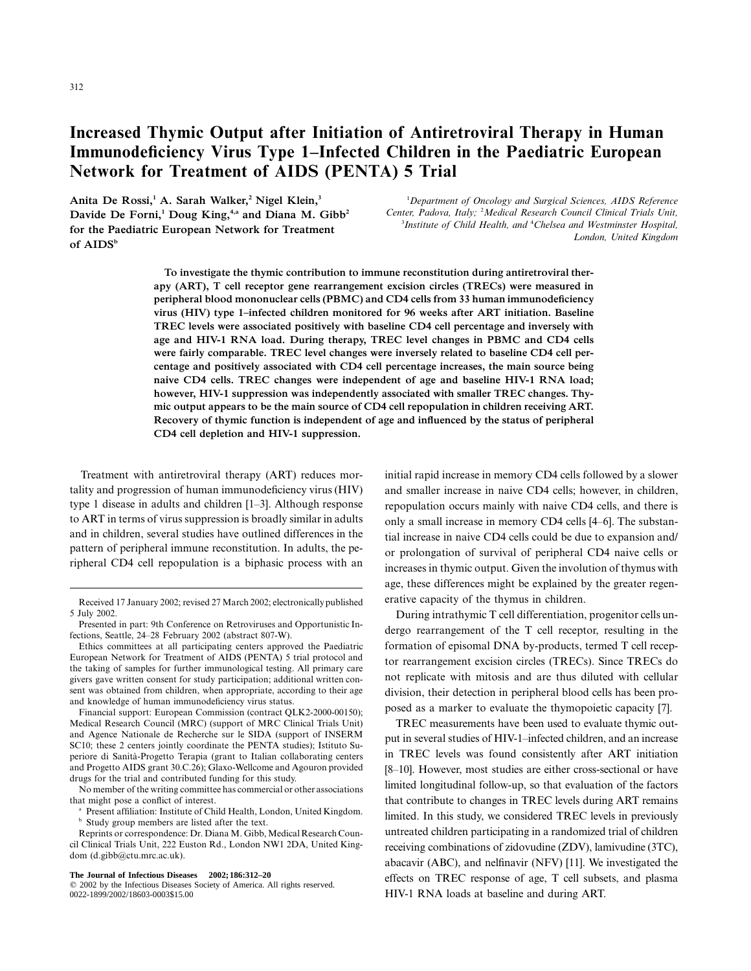# **Increased Thymic Output after Initiation of Antiretroviral Therapy in Human Immunodeficiency Virus Type 1–Infected Children in the Paediatric European Network for Treatment of AIDS (PENTA) 5 Trial**

**Anita De Rossi,1 A. Sarah Walker,2 Nigel Klein,3** Davide De Forni,<sup>1</sup> Doug King,<sup>4,a</sup> and Diana M. Gibb<sup>2</sup> **for the Paediatric European Network for Treatment** of AIDS<sup>b</sup>

1 *Department of Oncology and Surgical Sciences, AIDS Reference Center, Padova, Italy;* <sup>2</sup> *Medical Research Council Clinical Trials Unit,* <sup>3</sup> Institute of Child Health, and <sup>4</sup> Chelsea and Westminster Hospital, *London, United Kingdom*

**To investigate the thymic contribution to immune reconstitution during antiretroviral therapy (ART), T cell receptor gene rearrangement excision circles (TRECs) were measured in peripheral blood mononuclear cells (PBMC) and CD4 cells from 33 human immunodeficiency virus (HIV) type 1–infected children monitored for 96 weeks after ART initiation. Baseline TREC levels were associated positively with baseline CD4 cell percentage and inversely with age and HIV-1 RNA load. During therapy, TREC level changes in PBMC and CD4 cells were fairly comparable. TREC level changes were inversely related to baseline CD4 cell percentage and positively associated with CD4 cell percentage increases, the main source being naive CD4 cells. TREC changes were independent of age and baseline HIV-1 RNA load; however, HIV-1 suppression was independently associated with smaller TREC changes. Thymic output appears to be the main source of CD4 cell repopulation in children receiving ART. Recovery of thymic function is independent of age and influenced by the status of peripheral CD4 cell depletion and HIV-1 suppression.**

Treatment with antiretroviral therapy (ART) reduces mortality and progression of human immunodeficiency virus (HIV) type 1 disease in adults and children [1–3]. Although response to ART in terms of virus suppression is broadly similar in adults and in children, several studies have outlined differences in the pattern of peripheral immune reconstitution. In adults, the peripheral CD4 cell repopulation is a biphasic process with an

Financial support: European Commission (contract QLK2-2000-00150); Medical Research Council (MRC) (support of MRC Clinical Trials Unit) and Agence Nationale de Recherche sur le SIDA (support of INSERM SC10; these 2 centers jointly coordinate the PENTA studies); Istituto Superiore di Sanità-Progetto Terapia (grant to Italian collaborating centers and Progetto AIDS grant 30.C.26); Glaxo-Wellcome and Agouron provided drugs for the trial and contributed funding for this study.

No member of the writing committee has commercial or other associations that might pose a conflict of interest.

<sup>a</sup> Present affiliation: Institute of Child Health, London, United Kingdom. <sup>b</sup> Study group members are listed after the text.

Reprints or correspondence: Dr. Diana M. Gibb, Medical Research Council Clinical Trials Unit, 222 Euston Rd., London NW1 2DA, United Kingdom (d.gibb@ctu.mrc.ac.uk).

initial rapid increase in memory CD4 cells followed by a slower and smaller increase in naive CD4 cells; however, in children, repopulation occurs mainly with naive CD4 cells, and there is only a small increase in memory CD4 cells [4–6]. The substantial increase in naive CD4 cells could be due to expansion and/ or prolongation of survival of peripheral CD4 naive cells or increases in thymic output. Given the involution of thymus with age, these differences might be explained by the greater regenerative capacity of the thymus in children.

During intrathymic T cell differentiation, progenitor cells undergo rearrangement of the T cell receptor, resulting in the formation of episomal DNA by-products, termed T cell receptor rearrangement excision circles (TRECs). Since TRECs do not replicate with mitosis and are thus diluted with cellular division, their detection in peripheral blood cells has been proposed as a marker to evaluate the thymopoietic capacity [7].

TREC measurements have been used to evaluate thymic output in several studies of HIV-1–infected children, and an increase in TREC levels was found consistently after ART initiation [8–10]. However, most studies are either cross-sectional or have limited longitudinal follow-up, so that evaluation of the factors that contribute to changes in TREC levels during ART remains limited. In this study, we considered TREC levels in previously untreated children participating in a randomized trial of children receiving combinations of zidovudine (ZDV), lamivudine (3TC), abacavir (ABC), and nelfinavir (NFV) [11]. We investigated the effects on TREC response of age, T cell subsets, and plasma HIV-1 RNA loads at baseline and during ART.

Received 17 January 2002; revised 27 March 2002; electronicallypublished 5 July 2002.

Presented in part: 9th Conference on Retroviruses and Opportunistic Infections, Seattle, 24–28 February 2002 (abstract 807-W).

Ethics committees at all participating centers approved the Paediatric European Network for Treatment of AIDS (PENTA) 5 trial protocol and the taking of samples for further immunological testing. All primary care givers gave written consent for study participation; additional written consent was obtained from children, when appropriate, according to their age and knowledge of human immunodeficiency virus status.

**The Journal of Infectious Diseases 2002;186:312–20**

2002 by the Infectious Diseases Society of America. All rights reserved. 0022-1899/2002/18603-0003\$15.00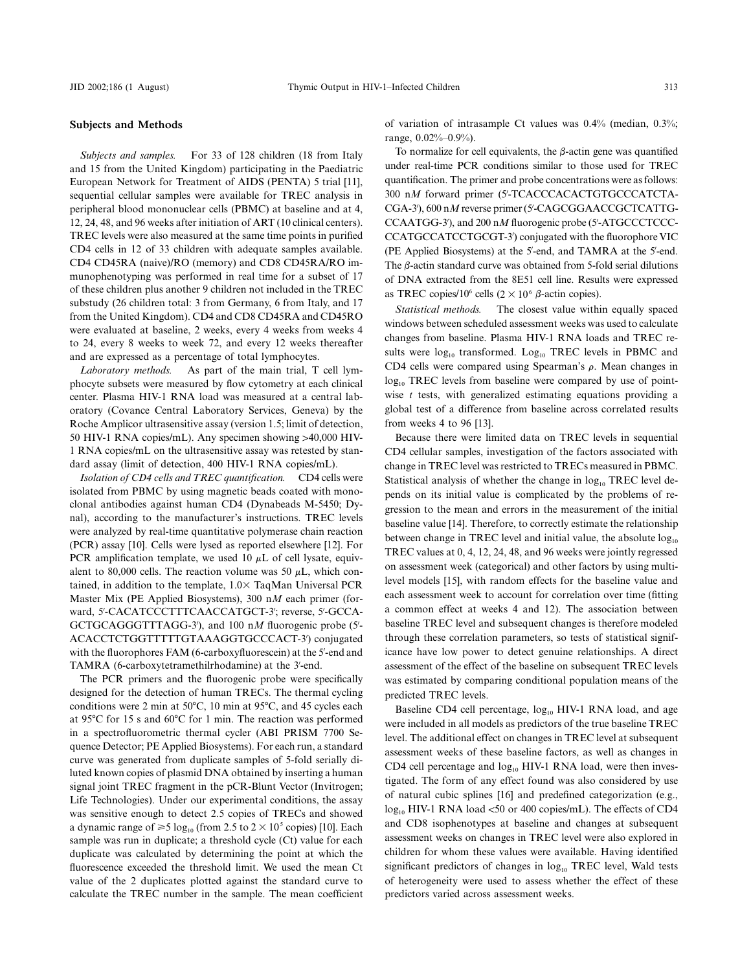#### **Subjects and Methods**

*Subjects and samples.* For 33 of 128 children (18 from Italy and 15 from the United Kingdom) participating in the Paediatric European Network for Treatment of AIDS (PENTA) 5 trial [11], sequential cellular samples were available for TREC analysis in peripheral blood mononuclear cells (PBMC) at baseline and at 4, 12, 24, 48, and 96 weeks after initiation of ART (10 clinical centers). TREC levels were also measured at the same time points in purified CD4 cells in 12 of 33 children with adequate samples available. CD4 CD45RA (naive)/RO (memory) and CD8 CD45RA/RO immunophenotyping was performed in real time for a subset of 17 of these children plus another 9 children not included in the TREC substudy (26 children total: 3 from Germany, 6 from Italy, and 17 from the United Kingdom). CD4 and CD8 CD45RA and CD45RO were evaluated at baseline, 2 weeks, every 4 weeks from weeks 4 to 24, every 8 weeks to week 72, and every 12 weeks thereafter and are expressed as a percentage of total lymphocytes.

*Laboratory methods.* As part of the main trial, T cell lymphocyte subsets were measured by flow cytometry at each clinical center. Plasma HIV-1 RNA load was measured at a central laboratory (Covance Central Laboratory Services, Geneva) by the Roche Amplicor ultrasensitive assay (version 1.5; limit of detection, 50 HIV-1 RNA copies/mL). Any specimen showing >40,000 HIV-1 RNA copies/mL on the ultrasensitive assay was retested by standard assay (limit of detection, 400 HIV-1 RNA copies/mL).

*Isolation of CD4 cells and TREC quantification.* CD4 cells were isolated from PBMC by using magnetic beads coated with monoclonal antibodies against human CD4 (Dynabeads M-5450; Dynal), according to the manufacturer's instructions. TREC levels were analyzed by real-time quantitative polymerase chain reaction (PCR) assay [10]. Cells were lysed as reported elsewhere [12]. For PCR amplification template, we used 10  $\mu$ L of cell lysate, equivalent to 80,000 cells. The reaction volume was 50  $\mu$ L, which contained, in addition to the template,  $1.0 \times$  TaqMan Universal PCR Master Mix (PE Applied Biosystems), 300 n*M* each primer (forward, 5 -CACATCCCTTTCAACCATGCT-3 ; reverse, 5 -GCCA-GCTGCAGGGTTTAGG-3'), and 100 nM fluorogenic probe (5'-ACACCTCTGGTTTTTGTAAAGGTGCCCACT-3 ) conjugated with the fluorophores FAM (6-carboxyfluorescein) at the 5 -end and TAMRA (6-carboxytetramethilrhodamine) at the 3 -end.

The PCR primers and the fluorogenic probe were specifically designed for the detection of human TRECs. The thermal cycling conditions were 2 min at  $50^{\circ}$ C, 10 min at  $95^{\circ}$ C, and 45 cycles each at 95°C for 15 s and 60°C for 1 min. The reaction was performed in a spectrofluorometric thermal cycler (ABI PRISM 7700 Sequence Detector; PE Applied Biosystems). For each run, a standard curve was generated from duplicate samples of 5-fold serially diluted known copies of plasmid DNA obtained by inserting a human signal joint TREC fragment in the pCR-Blunt Vector (Invitrogen; Life Technologies). Under our experimental conditions, the assay was sensitive enough to detect 2.5 copies of TRECs and showed a dynamic range of  $\geq 5 \log_{10}$  (from 2.5 to 2  $\times$  10<sup>5</sup> copies) [10]. Each sample was run in duplicate; a threshold cycle (Ct) value for each duplicate was calculated by determining the point at which the fluorescence exceeded the threshold limit. We used the mean Ct value of the 2 duplicates plotted against the standard curve to calculate the TREC number in the sample. The mean coefficient of variation of intrasample Ct values was 0.4% (median, 0.3%; range, 0.02%–0.9%).

To normalize for cell equivalents, the  $\beta$ -actin gene was quantified under real-time PCR conditions similar to those used for TREC quantification. The primer and probe concentrations were as follows: 300 n*M* forward primer (5 -TCACCCACACTGTGCCCATCTA-CGA-3 ), 600 n*M* reverse primer (5 -CAGCGGAACCGCTCATTG-CCAATGG-3 ), and 200 n*M* fluorogenic probe (5 -ATGCCCTCCC-CCATGCCATCCTGCGT-3 ) conjugated with the fluorophore VIC (PE Applied Biosystems) at the 5'-end, and TAMRA at the 5'-end. The  $\beta$ -actin standard curve was obtained from 5-fold serial dilutions of DNA extracted from the 8E51 cell line. Results were expressed as TREC copies/10<sup>6</sup> cells  $(2 \times 10^6 \beta$ -actin copies).

*Statistical methods.* The closest value within equally spaced windows between scheduled assessment weeks was used to calculate changes from baseline. Plasma HIV-1 RNA loads and TREC results were  $log_{10}$  transformed. Log<sub>10</sub> TREC levels in PBMC and CD4 cells were compared using Spearman's  $\rho$ . Mean changes in  $log_{10}$  TREC levels from baseline were compared by use of pointwise *t* tests, with generalized estimating equations providing a global test of a difference from baseline across correlated results from weeks 4 to 96 [13].

Because there were limited data on TREC levels in sequential CD4 cellular samples, investigation of the factors associated with change in TREC level was restricted to TRECs measured in PBMC. Statistical analysis of whether the change in  $log_{10}$  TREC level depends on its initial value is complicated by the problems of regression to the mean and errors in the measurement of the initial baseline value [14]. Therefore, to correctly estimate the relationship between change in TREC level and initial value, the absolute  $log_{10}$ TREC values at 0, 4, 12, 24, 48, and 96 weeks were jointly regressed on assessment week (categorical) and other factors by using multilevel models [15], with random effects for the baseline value and each assessment week to account for correlation over time (fitting a common effect at weeks 4 and 12). The association between baseline TREC level and subsequent changes is therefore modeled through these correlation parameters, so tests of statistical significance have low power to detect genuine relationships. A direct assessment of the effect of the baseline on subsequent TREC levels was estimated by comparing conditional population means of the predicted TREC levels.

Baseline CD4 cell percentage,  $log_{10}$  HIV-1 RNA load, and age were included in all models as predictors of the true baseline TREC level. The additional effect on changes in TREC level at subsequent assessment weeks of these baseline factors, as well as changes in CD4 cell percentage and  $log_{10}$  HIV-1 RNA load, were then investigated. The form of any effect found was also considered by use of natural cubic splines [16] and predefined categorization (e.g.,  $log_{10}$  HIV-1 RNA load <50 or 400 copies/mL). The effects of CD4 and CD8 isophenotypes at baseline and changes at subsequent assessment weeks on changes in TREC level were also explored in children for whom these values were available. Having identified significant predictors of changes in  $log_{10}$  TREC level, Wald tests of heterogeneity were used to assess whether the effect of these predictors varied across assessment weeks.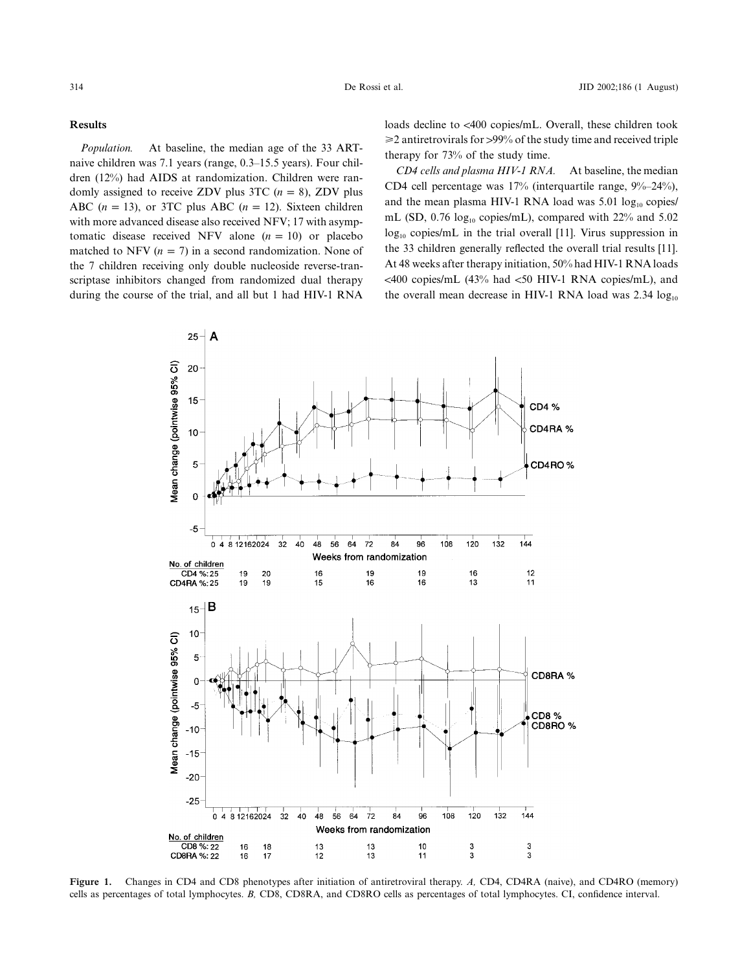### **Results**

*Population.* At baseline, the median age of the 33 ARTnaive children was 7.1 years (range, 0.3–15.5 years). Four children (12%) had AIDS at randomization. Children were randomly assigned to receive ZDV plus 3TC  $(n = 8)$ , ZDV plus ABC  $(n = 13)$ , or 3TC plus ABC  $(n = 12)$ . Sixteen children with more advanced disease also received NFV; 17 with asymptomatic disease received NFV alone  $(n = 10)$  or placebo matched to NFV ( $n = 7$ ) in a second randomization. None of the 7 children receiving only double nucleoside reverse-transcriptase inhibitors changed from randomized dual therapy during the course of the trial, and all but 1 had HIV-1 RNA loads decline to <400 copies/mL. Overall, these children took  $\geq$  antiretrovirals for  $>$ 99% of the study time and received triple therapy for 73% of the study time.

*CD4 cells and plasma HIV-1 RNA.* At baseline, the median CD4 cell percentage was 17% (interquartile range, 9%–24%), and the mean plasma HIV-1 RNA load was  $5.01 \log_{10}$  copies/ mL (SD,  $0.76 \log_{10}$  copies/mL), compared with 22% and 5.02  $log_{10}$  copies/mL in the trial overall [11]. Virus suppression in the 33 children generally reflected the overall trial results [11]. At 48 weeks after therapy initiation, 50% had HIV-1 RNA loads  $\langle 400 \text{ copies/mL}$  (43% had  $\langle 50 \text{ HIV-1 RNA copies/mL}$ ), and the overall mean decrease in HIV-1 RNA load was  $2.34 \log_{10}$ 



**Figure 1.** Changes in CD4 and CD8 phenotypes after initiation of antiretroviral therapy. *A,* CD4, CD4RA (naive), and CD4RO (memory) cells as percentages of total lymphocytes. *B,* CD8, CD8RA, and CD8RO cells as percentages of total lymphocytes. CI, confidence interval.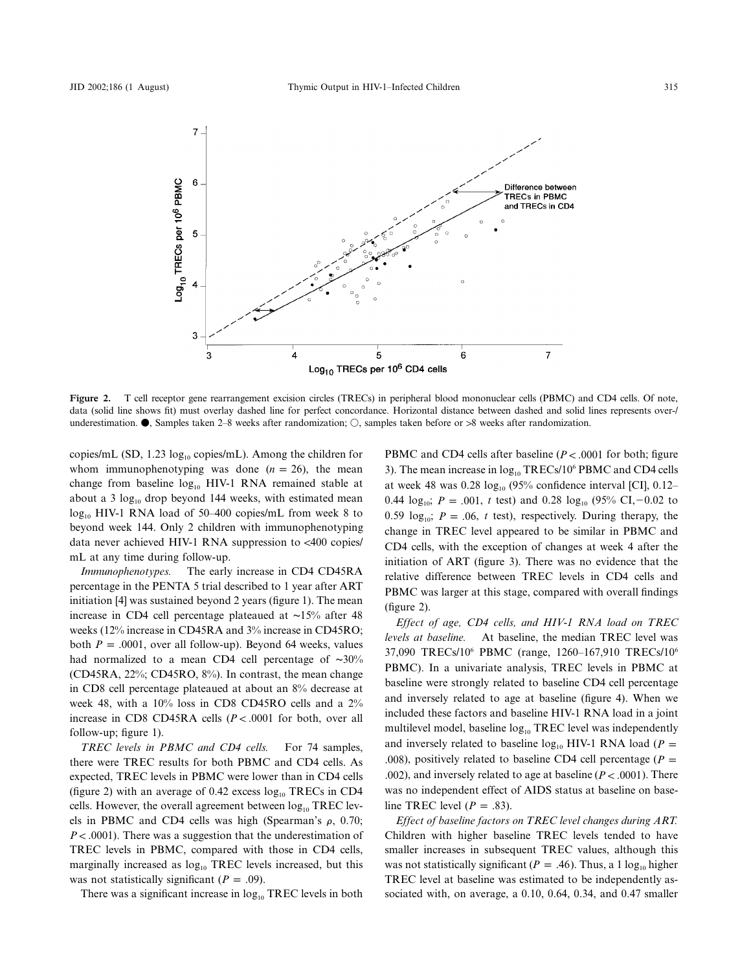

**Figure 2.** T cell receptor gene rearrangement excision circles (TRECs) in peripheral blood mononuclear cells (PBMC) and CD4 cells. Of note, data (solid line shows fit) must overlay dashed line for perfect concordance. Horizontal distance between dashed and solid lines represents over-/ underestimation.  $\bullet$ , Samples taken 2–8 weeks after randomization;  $\bigcirc$ , samples taken before or >8 weeks after randomization.

copies/mL (SD, 1.23  $log_{10}$  copies/mL). Among the children for whom immunophenotyping was done  $(n = 26)$ , the mean change from baseline  $log_{10}$  HIV-1 RNA remained stable at about a 3  $log_{10}$  drop beyond 144 weeks, with estimated mean  $log_{10}$  HIV-1 RNA load of 50–400 copies/mL from week 8 to beyond week 144. Only 2 children with immunophenotyping data never achieved HIV-1 RNA suppression to  $<400$  copies/ mL at any time during follow-up.

*Immunophenotypes.* The early increase in CD4 CD45RA percentage in the PENTA 5 trial described to 1 year after ART initiation [4] was sustained beyond 2 years (figure 1). The mean increase in CD4 cell percentage plateaued at ∼15% after 48 weeks (12% increase in CD45RA and 3% increase in CD45RO; both  $P = .0001$ , over all follow-up). Beyond 64 weeks, values had normalized to a mean CD4 cell percentage of ∼30% (CD45RA, 22%; CD45RO, 8%). In contrast, the mean change in CD8 cell percentage plateaued at about an 8% decrease at week 48, with a 10% loss in CD8 CD45RO cells and a 2% increase in CD8 CD45RA cells  $(P < .0001$  for both, over all follow-up; figure 1).

*TREC levels in PBMC and CD4 cells.* For 74 samples, there were TREC results for both PBMC and CD4 cells. As expected, TREC levels in PBMC were lower than in CD4 cells (figure 2) with an average of 0.42 excess  $log_{10}$  TRECs in CD4 cells. However, the overall agreement between  $log_{10}$  TREC levels in PBMC and CD4 cells was high (Spearman's  $\rho$ , 0.70;  $P < .0001$ ). There was a suggestion that the underestimation of TREC levels in PBMC, compared with those in CD4 cells, marginally increased as  $log_{10}$  TREC levels increased, but this was not statistically significant ( $P = .09$ ).

There was a significant increase in  $log_{10}$  TREC levels in both

PBMC and CD4 cells after baseline  $(P < .0001$  for both; figure 3). The mean increase in  $log_{10}$  TRECs/10<sup>6</sup> PBMC and CD4 cells at week 48 was  $0.28 \log_{10} (95\% \text{ confidence interval [CI], } 0.12-$ 0.44  $log_{10}$ ;  $P = .001$ , t test) and 0.28  $log_{10}$  (95% CI,-0.02 to 0.59  $log_{10}$ ;  $P = .06$ , t test), respectively. During therapy, the change in TREC level appeared to be similar in PBMC and CD4 cells, with the exception of changes at week 4 after the initiation of ART (figure 3). There was no evidence that the relative difference between TREC levels in CD4 cells and PBMC was larger at this stage, compared with overall findings (figure 2).

*Effect of age, CD4 cells, and HIV-1 RNA load on TREC levels at baseline.* At baseline, the median TREC level was 37,090 TRECs/106 PBMC (range, 1260–167,910 TRECs/106 PBMC). In a univariate analysis, TREC levels in PBMC at baseline were strongly related to baseline CD4 cell percentage and inversely related to age at baseline (figure 4). When we included these factors and baseline HIV-1 RNA load in a joint multilevel model, baseline log<sub>10</sub> TREC level was independently and inversely related to baseline  $log_{10}$  HIV-1 RNA load ( $P =$ .008), positively related to baseline CD4 cell percentage ( $P =$ .002), and inversely related to age at baseline ( $P < .0001$ ). There was no independent effect of AIDS status at baseline on baseline TREC level  $(P = .83)$ .

*Effect of baseline factors on TREC level changes during ART.* Children with higher baseline TREC levels tended to have smaller increases in subsequent TREC values, although this was not statistically significant ( $P = .46$ ). Thus, a 1 log<sub>10</sub> higher TREC level at baseline was estimated to be independently associated with, on average, a 0.10, 0.64, 0.34, and 0.47 smaller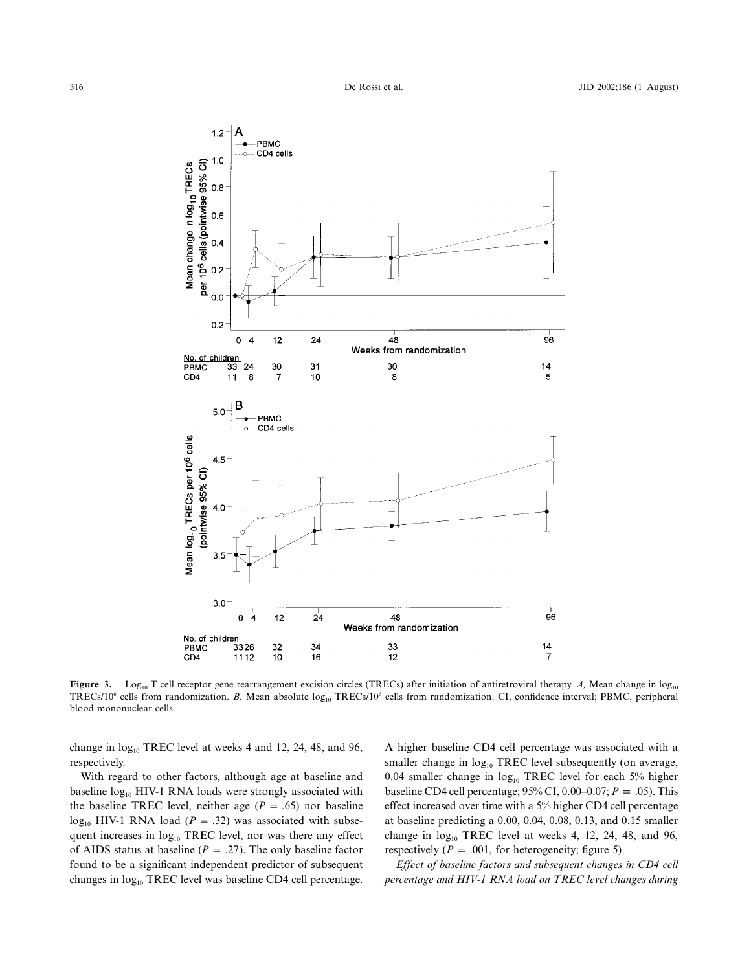

**Figure 3.** Log<sub>10</sub> T cell receptor gene rearrangement excision circles (TRECs) after initiation of antiretroviral therapy. *A*, Mean change in log<sub>10</sub> TRECs/10<sup>6</sup> cells from randomization. *B*, Mean absolute log<sub>10</sub> TRECs/10<sup>6</sup> cells from randomization. CI, confidence interval; PBMC, peripheral blood mononuclear cells.

change in  $log_{10}$  TREC level at weeks 4 and 12, 24, 48, and 96, respectively.

With regard to other factors, although age at baseline and baseline  $log_{10}$  HIV-1 RNA loads were strongly associated with the baseline TREC level, neither age  $(P = .65)$  nor baseline  $log_{10}$  HIV-1 RNA load ( $P = .32$ ) was associated with subsequent increases in  $log_{10}$  TREC level, nor was there any effect of AIDS status at baseline ( $P = .27$ ). The only baseline factor found to be a significant independent predictor of subsequent changes in  $log_{10}$  TREC level was baseline CD4 cell percentage. A higher baseline CD4 cell percentage was associated with a smaller change in  $log_{10}$  TREC level subsequently (on average, 0.04 smaller change in  $log_{10}$  TREC level for each 5% higher baseline CD4 cell percentage;  $95\%$  CI,  $0.00-0.07$ ;  $P = .05$ ). This effect increased over time with a 5% higher CD4 cell percentage at baseline predicting a 0.00, 0.04, 0.08, 0.13, and 0.15 smaller change in  $log_{10}$  TREC level at weeks 4, 12, 24, 48, and 96, respectively ( $P = .001$ , for heterogeneity; figure 5).

*Effect of baseline factors and subsequent changes in CD4 cell percentage and HIV-1 RNA load on TREC level changes during*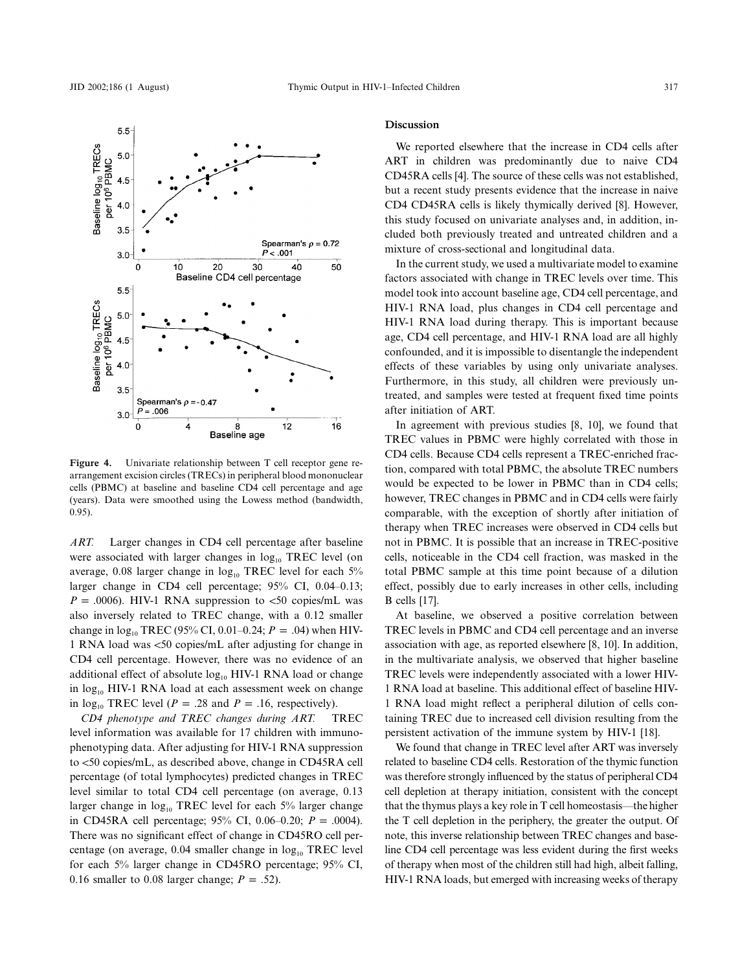

**Figure 4.** Univariate relationship between T cell receptor gene rearrangement excision circles (TRECs) in peripheral blood mononuclear cells (PBMC) at baseline and baseline CD4 cell percentage and age (years). Data were smoothed using the Lowess method (bandwidth, 0.95).

*ART.* Larger changes in CD4 cell percentage after baseline were associated with larger changes in  $log_{10}$  TREC level (on average, 0.08 larger change in  $log_{10}$  TREC level for each 5% larger change in CD4 cell percentage; 95% CI, 0.04–0.13;  $P = .0006$ ). HIV-1 RNA suppression to <50 copies/mL was also inversely related to TREC change, with a 0.12 smaller change in  $log_{10}$  TREC (95% CI, 0.01–0.24;  $P = .04$ ) when HIV-1 RNA load was <50 copies/mL after adjusting for change in CD4 cell percentage. However, there was no evidence of an additional effect of absolute  $log_{10}$  HIV-1 RNA load or change in  $log_{10}$  HIV-1 RNA load at each assessment week on change in  $log_{10}$  TREC level ( $P = .28$  and  $P = .16$ , respectively).

*CD4 phenotype and TREC changes during ART.* TREC level information was available for 17 children with immunophenotyping data. After adjusting for HIV-1 RNA suppression to <50 copies/mL, as described above, change in CD45RA cell percentage (of total lymphocytes) predicted changes in TREC level similar to total CD4 cell percentage (on average, 0.13 larger change in  $log_{10}$  TREC level for each 5% larger change in CD45RA cell percentage;  $95\%$  CI,  $0.06-0.20$ ;  $P = .0004$ ). There was no significant effect of change in CD45RO cell percentage (on average,  $0.04$  smaller change in  $log_{10}$  TREC level for each 5% larger change in CD45RO percentage; 95% CI, 0.16 smaller to 0.08 larger change;  $P = .52$ ).

#### **Discussion**

We reported elsewhere that the increase in CD4 cells after ART in children was predominantly due to naive CD4 CD45RA cells [4]. The source of these cells was not established, but a recent study presents evidence that the increase in naive CD4 CD45RA cells is likely thymically derived [8]. However, this study focused on univariate analyses and, in addition, included both previously treated and untreated children and a mixture of cross-sectional and longitudinal data.

In the current study, we used a multivariate model to examine factors associated with change in TREC levels over time. This model took into account baseline age, CD4 cell percentage, and HIV-1 RNA load, plus changes in CD4 cell percentage and HIV-1 RNA load during therapy. This is important because age, CD4 cell percentage, and HIV-1 RNA load are all highly confounded, and it is impossible to disentangle the independent effects of these variables by using only univariate analyses. Furthermore, in this study, all children were previously untreated, and samples were tested at frequent fixed time points after initiation of ART.

In agreement with previous studies [8, 10], we found that TREC values in PBMC were highly correlated with those in CD4 cells. Because CD4 cells represent a TREC-enriched fraction, compared with total PBMC, the absolute TREC numbers would be expected to be lower in PBMC than in CD4 cells; however, TREC changes in PBMC and in CD4 cells were fairly comparable, with the exception of shortly after initiation of therapy when TREC increases were observed in CD4 cells but not in PBMC. It is possible that an increase in TREC-positive cells, noticeable in the CD4 cell fraction, was masked in the total PBMC sample at this time point because of a dilution effect, possibly due to early increases in other cells, including B cells [17].

At baseline, we observed a positive correlation between TREC levels in PBMC and CD4 cell percentage and an inverse association with age, as reported elsewhere [8, 10]. In addition, in the multivariate analysis, we observed that higher baseline TREC levels were independently associated with a lower HIV-1 RNA load at baseline. This additional effect of baseline HIV-1 RNA load might reflect a peripheral dilution of cells containing TREC due to increased cell division resulting from the persistent activation of the immune system by HIV-1 [18].

We found that change in TREC level after ART was inversely related to baseline CD4 cells. Restoration of the thymic function was therefore strongly influenced by the status of peripheral CD4 cell depletion at therapy initiation, consistent with the concept that the thymus plays a key role in T cell homeostasis—the higher the T cell depletion in the periphery, the greater the output. Of note, this inverse relationship between TREC changes and baseline CD4 cell percentage was less evident during the first weeks of therapy when most of the children still had high, albeit falling, HIV-1 RNA loads, but emerged with increasing weeks of therapy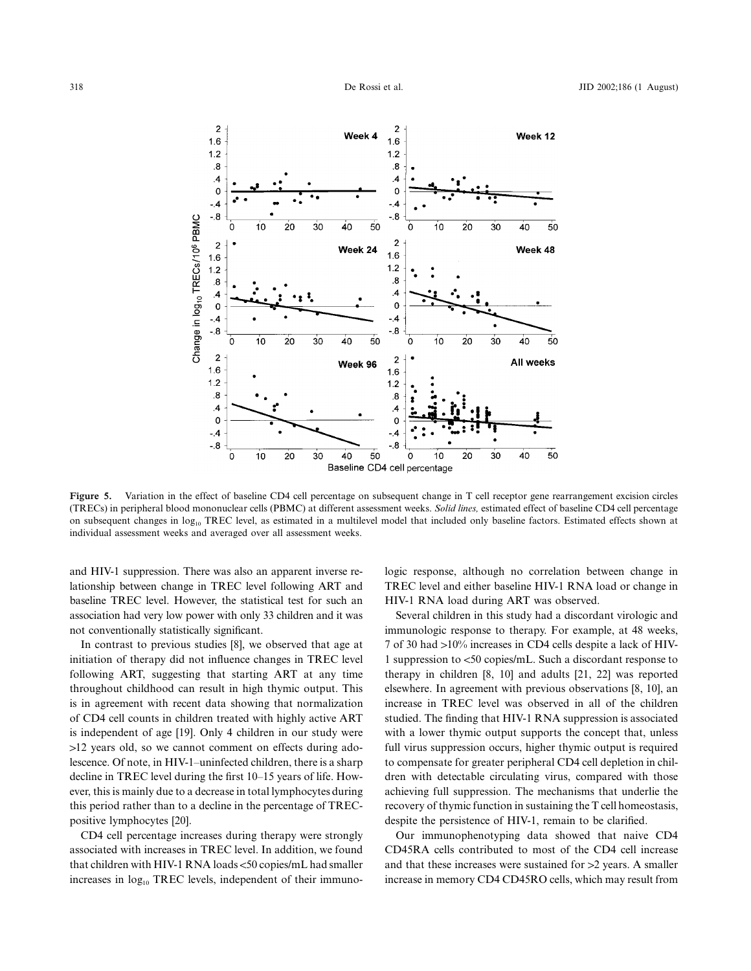

Figure 5. Variation in the effect of baseline CD4 cell percentage on subsequent change in T cell receptor gene rearrangement excision circles (TRECs) in peripheral blood mononuclear cells (PBMC) at different assessment weeks. *Solid lines,* estimated effect of baseline CD4 cell percentage on subsequent changes in log<sub>10</sub> TREC level, as estimated in a multilevel model that included only baseline factors. Estimated effects shown at individual assessment weeks and averaged over all assessment weeks.

and HIV-1 suppression. There was also an apparent inverse relationship between change in TREC level following ART and baseline TREC level. However, the statistical test for such an association had very low power with only 33 children and it was not conventionally statistically significant.

In contrast to previous studies [8], we observed that age at initiation of therapy did not influence changes in TREC level following ART, suggesting that starting ART at any time throughout childhood can result in high thymic output. This is in agreement with recent data showing that normalization of CD4 cell counts in children treated with highly active ART is independent of age [19]. Only 4 children in our study were  $>12$  years old, so we cannot comment on effects during adolescence. Of note, in HIV-1–uninfected children, there is a sharp decline in TREC level during the first 10–15 years of life. However, this is mainly due to a decrease in total lymphocytes during this period rather than to a decline in the percentage of TRECpositive lymphocytes [20].

CD4 cell percentage increases during therapy were strongly associated with increases in TREC level. In addition, we found that children with HIV-1 RNA loads <50 copies/mL had smaller increases in  $log<sub>10</sub> TREC$  levels, independent of their immunologic response, although no correlation between change in TREC level and either baseline HIV-1 RNA load or change in HIV-1 RNA load during ART was observed.

Several children in this study had a discordant virologic and immunologic response to therapy. For example, at 48 weeks, 7 of 30 had >10% increases in CD4 cells despite a lack of HIV-1 suppression to <50 copies/mL. Such a discordant response to therapy in children [8, 10] and adults [21, 22] was reported elsewhere. In agreement with previous observations [8, 10], an increase in TREC level was observed in all of the children studied. The finding that HIV-1 RNA suppression is associated with a lower thymic output supports the concept that, unless full virus suppression occurs, higher thymic output is required to compensate for greater peripheral CD4 cell depletion in children with detectable circulating virus, compared with those achieving full suppression. The mechanisms that underlie the recovery of thymic function in sustaining the T cell homeostasis, despite the persistence of HIV-1, remain to be clarified.

Our immunophenotyping data showed that naive CD4 CD45RA cells contributed to most of the CD4 cell increase and that these increases were sustained for  $>2$  years. A smaller increase in memory CD4 CD45RO cells, which may result from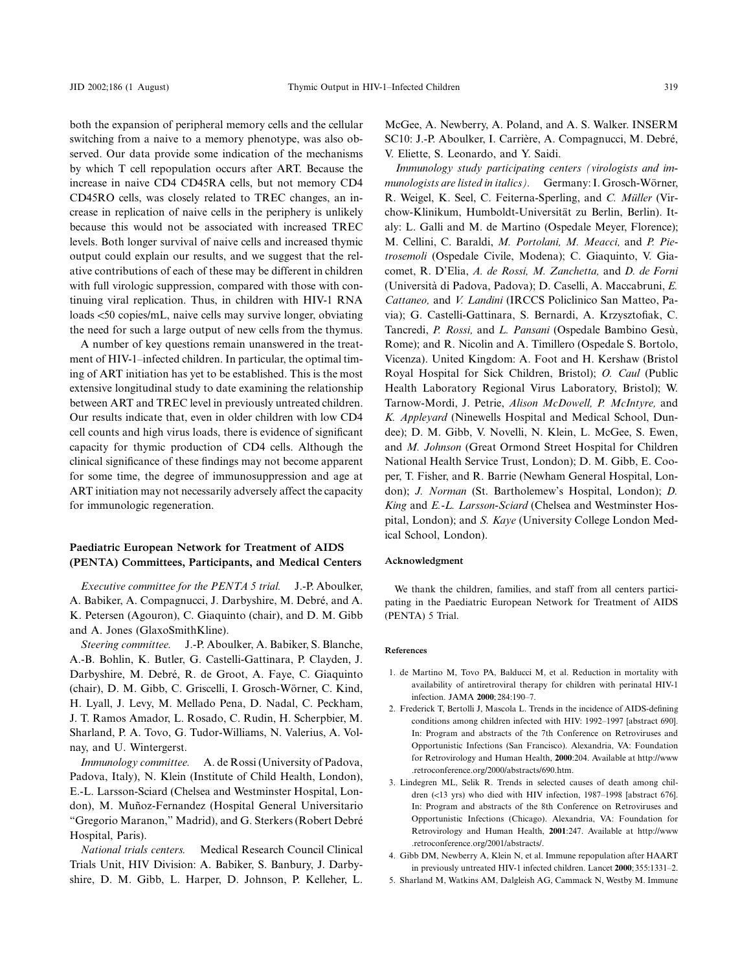both the expansion of peripheral memory cells and the cellular switching from a naive to a memory phenotype, was also observed. Our data provide some indication of the mechanisms by which T cell repopulation occurs after ART. Because the increase in naive CD4 CD45RA cells, but not memory CD4 CD45RO cells, was closely related to TREC changes, an increase in replication of naive cells in the periphery is unlikely because this would not be associated with increased TREC levels. Both longer survival of naive cells and increased thymic output could explain our results, and we suggest that the relative contributions of each of these may be different in children with full virologic suppression, compared with those with continuing viral replication. Thus, in children with HIV-1 RNA loads <50 copies/mL, naive cells may survive longer, obviating the need for such a large output of new cells from the thymus.

A number of key questions remain unanswered in the treatment of HIV-1–infected children. In particular, the optimal timing of ART initiation has yet to be established. This is the most extensive longitudinal study to date examining the relationship between ART and TREC level in previously untreated children. Our results indicate that, even in older children with low CD4 cell counts and high virus loads, there is evidence of significant capacity for thymic production of CD4 cells. Although the clinical significance of these findings may not become apparent for some time, the degree of immunosuppression and age at ART initiation may not necessarily adversely affect the capacity for immunologic regeneration.

## **Paediatric European Network for Treatment of AIDS (PENTA) Committees, Participants, and Medical Centers**

*Executive committee for the PENTA 5 trial.* J.-P. Aboulker, A. Babiker, A. Compagnucci, J. Darbyshire, M. Debré, and A. K. Petersen (Agouron), C. Giaquinto (chair), and D. M. Gibb and A. Jones (GlaxoSmithKline).

*Steering committee.* J.-P. Aboulker, A. Babiker, S. Blanche, A.-B. Bohlin, K. Butler, G. Castelli-Gattinara, P. Clayden, J. Darbyshire, M. Debré, R. de Groot, A. Faye, C. Giaquinto (chair), D. M. Gibb, C. Griscelli, I. Grosch-Wörner, C. Kind, H. Lyall, J. Levy, M. Mellado Pena, D. Nadal, C. Peckham, J. T. Ramos Amador, L. Rosado, C. Rudin, H. Scherpbier, M. Sharland, P. A. Tovo, G. Tudor-Williams, N. Valerius, A. Volnay, and U. Wintergerst.

*Immunology committee.* A. de Rossi (University of Padova, Padova, Italy), N. Klein (Institute of Child Health, London), E.-L. Larsson-Sciard (Chelsea and Westminster Hospital, London), M. Muñoz-Fernandez (Hospital General Universitario "Gregorio Maranon," Madrid), and G. Sterkers (Robert Debre´ Hospital, Paris).

*National trials centers.* Medical Research Council Clinical Trials Unit, HIV Division: A. Babiker, S. Banbury, J. Darbyshire, D. M. Gibb, L. Harper, D. Johnson, P. Kelleher, L.

McGee, A. Newberry, A. Poland, and A. S. Walker. INSERM SC10: J.-P. Aboulker, I. Carrière, A. Compagnucci, M. Debré, V. Eliette, S. Leonardo, and Y. Saidi.

*Immunology study participating centers (virologists and immunologists are listed in italics*). Germany: I. Grosch-Wörner, R. Weigel, K. Seel, C. Feiterna-Sperling, and *C. Müller* (Virchow-Klinikum, Humboldt-Universität zu Berlin, Berlin). Italy: L. Galli and M. de Martino (Ospedale Meyer, Florence); M. Cellini, C. Baraldi, *M. Portolani, M. Meacci,* and *P. Pietrosemoli* (Ospedale Civile, Modena); C. Giaquinto, V. Giacomet, R. D'Elia, *A. de Rossi, M. Zanchetta,* and *D. de Forni* (Universita` di Padova, Padova); D. Caselli, A. Maccabruni, *E. Cattaneo,* and *V. Landini* (IRCCS Policlinico San Matteo, Pavia); G. Castelli-Gattinara, S. Bernardi, A. Krzysztofiak, C. Tancredi, *P. Rossi, and L. Pansani* (Ospedale Bambino Gesù, Rome); and R. Nicolin and A. Timillero (Ospedale S. Bortolo, Vicenza). United Kingdom: A. Foot and H. Kershaw (Bristol Royal Hospital for Sick Children, Bristol); *O. Caul* (Public Health Laboratory Regional Virus Laboratory, Bristol); W. Tarnow-Mordi, J. Petrie, *Alison McDowell, P. McIntyre,* and *K. Appleyard* (Ninewells Hospital and Medical School, Dundee); D. M. Gibb, V. Novelli, N. Klein, L. McGee, S. Ewen, and *M. Johnson* (Great Ormond Street Hospital for Children National Health Service Trust, London); D. M. Gibb, E. Cooper, T. Fisher, and R. Barrie (Newham General Hospital, London); *J. Norman* (St. Bartholemew's Hospital, London); *D. King* and *E.-L. Larsson-Sciard* (Chelsea and Westminster Hospital, London); and *S. Kaye* (University College London Medical School, London).

#### **Acknowledgment**

We thank the children, families, and staff from all centers participating in the Paediatric European Network for Treatment of AIDS (PENTA) 5 Trial.

#### **References**

- 1. de Martino M, Tovo PA, Balducci M, et al. Reduction in mortality with availability of antiretroviral therapy for children with perinatal HIV-1 infection. JAMA **2000**;284:190–7.
- 2. Frederick T, Bertolli J, Mascola L. Trends in the incidence of AIDS-defining conditions among children infected with HIV: 1992–1997 [abstract 690]. In: Program and abstracts of the 7th Conference on Retroviruses and Opportunistic Infections (San Francisco). Alexandria, VA: Foundation for Retrovirology and Human Health, **2000**:204. Available at http://www .retroconference.org/2000/abstracts/690.htm.
- 3. Lindegren ML, Selik R. Trends in selected causes of death among children (<13 yrs) who died with HIV infection, 1987-1998 [abstract 676]. In: Program and abstracts of the 8th Conference on Retroviruses and Opportunistic Infections (Chicago). Alexandria, VA: Foundation for Retrovirology and Human Health, **2001**:247. Available at http://www .retroconference.org/2001/abstracts/.
- 4. Gibb DM, Newberry A, Klein N, et al. Immune repopulation after HAART in previously untreated HIV-1 infected children. Lancet **2000**;355:1331–2.
- 5. Sharland M, Watkins AM, Dalgleish AG, Cammack N, Westby M. Immune